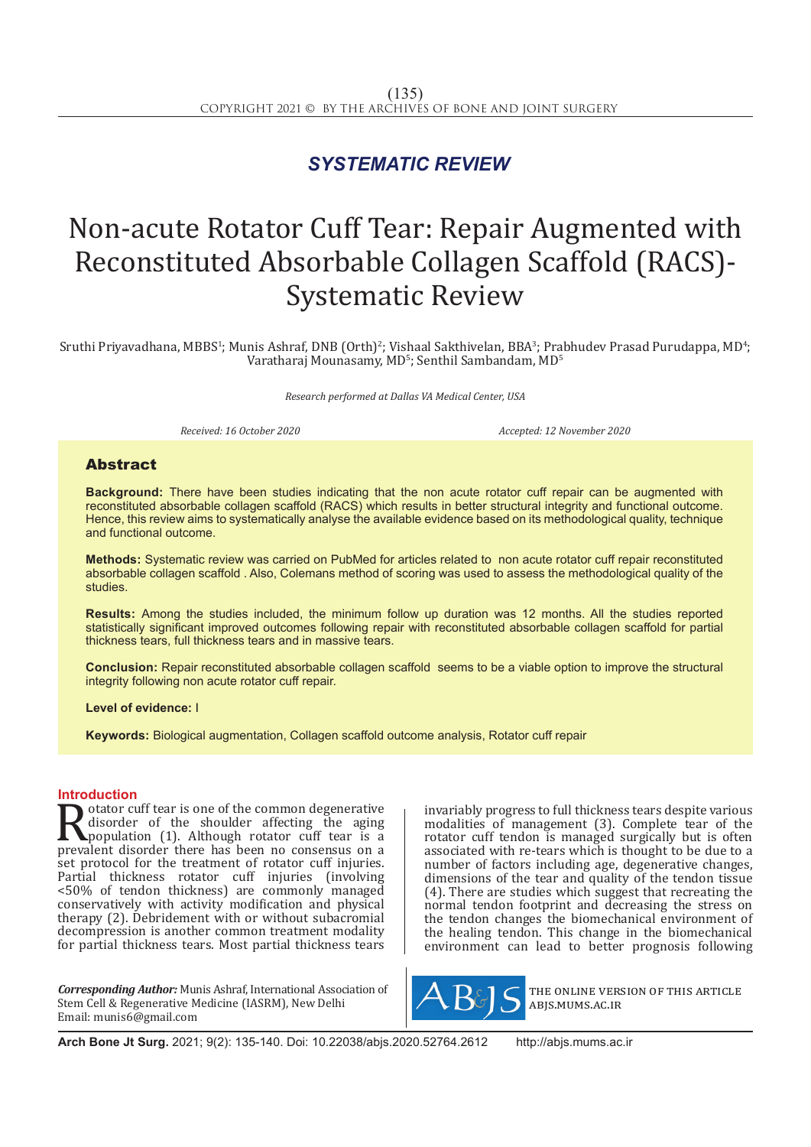## *SYSTEMATIC REVIEW*

# Non-acute Rotator Cuff Tear: Repair Augmented with Reconstituted Absorbable Collagen Scaffold (RACS)- Systematic Review

Sruthi Priyavadhana, MBBS<sup>1</sup>; Munis Ashraf, DNB (Orth)<sup>2</sup>; Vishaal Sakthivelan, BBA<sup>3</sup>; Prabhudev Prasad Purudappa, MD<sup>4</sup>; Varatharaj Mounasamy, MD $^{\rm 5}$ ; Senthil Sambandam, MD $^{\rm 5}$ 

*Research performed at Dallas VA Medical Center, USA*

*Received: 16 October 2020 Accepted: 12 November 2020*

### Abstract

**Background:** There have been studies indicating that the non acute rotator cuff repair can be augmented with reconstituted absorbable collagen scaffold (RACS) which results in better structural integrity and functional outcome. Hence, this review aims to systematically analyse the available evidence based on its methodological quality, technique and functional outcome.

**Methods:** Systematic review was carried on PubMed for articles related to non acute rotator cuff repair reconstituted absorbable collagen scaffold . Also, Colemans method of scoring was used to assess the methodological quality of the studies.

**Results:** Among the studies included, the minimum follow up duration was 12 months. All the studies reported statistically significant improved outcomes following repair with reconstituted absorbable collagen scaffold for partial thickness tears, full thickness tears and in massive tears.

**Conclusion:** Repair reconstituted absorbable collagen scaffold seems to be a viable option to improve the structural integrity following non acute rotator cuff repair.

**Level of evidence:** I

**Keywords:** Biological augmentation, Collagen scaffold outcome analysis, Rotator cuff repair

**Introduction**<br> **T** otator cuff tear is one of the common degenerative **Rotator cuff tear is one of the common degenerative**<br>disorder of the shoulder affecting the aging<br>population (1). Although rotator cuff tear is a<br>prevalent disorder there has been no consensus on a<br>set protocol for the tr disorder of the shoulder affecting the aging population (1). Although rotator cuff tear is a prevalent disorder there has been no consensus on a set protocol for the treatment of rotator cuff injuries. Partial thickness rotator cuff injuries (involving <50% of tendon thickness) are commonly managed conservatively with activity modification and physical therapy (2). Debridement with or without subacromial decompression is another common treatment modality for partial thickness tears. Most partial thickness tears

*Corresponding Author:* Munis Ashraf, International Association of Stem Cell & Regenerative Medicine (IASRM), New Delhi Email: munis6@gmail.com

invariably progress to full thickness tears despite various modalities of management (3). Complete tear of the rotator cuff tendon is managed surgically but is often associated with re-tears which is thought to be due to a number of factors including age, degenerative changes, dimensions of the tear and quality of the tendon tissue (4). There are studies which suggest that recreating the normal tendon footprint and decreasing the stress on the tendon changes the biomechanical environment of the healing tendon. This change in the biomechanical environment can lead to better prognosis following



the online version of this article abjs.mums.ac.ir

**Arch Bone Jt Surg.** 2021; 9(2): 135-140. Doi: 10.22038/abjs.2020.52764.2612 http://abjs.mums.ac.ir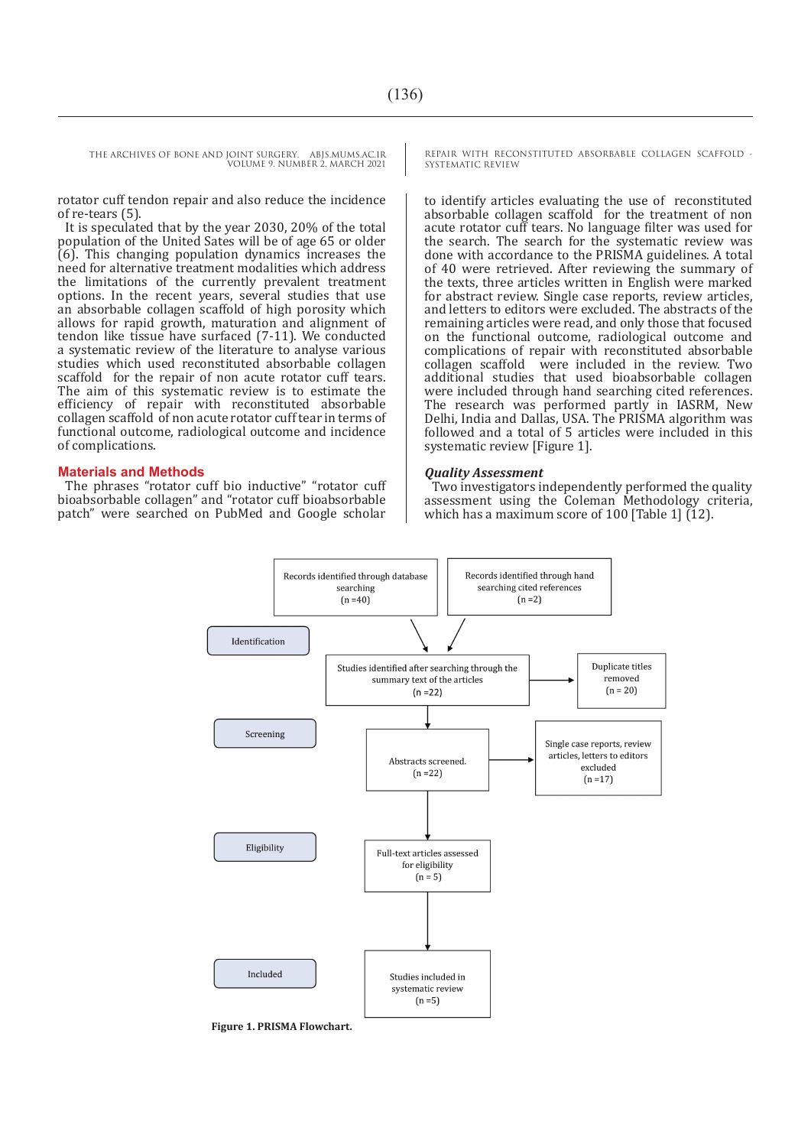rotator cuff tendon repair and also reduce the incidence of re-tears (5).

It is speculated that by the year 2030, 20% of the total population of the United Sates will be of age 65 or older (6). This changing population dynamics increases the need for alternative treatment modalities which address the limitations of the currently prevalent treatment options. In the recent years, several studies that use an absorbable collagen scaffold of high porosity which allows for rapid growth, maturation and alignment of tendon like tissue have surfaced (7-11). We conducted a systematic review of the literature to analyse various studies which used reconstituted absorbable collagen scaffold for the repair of non acute rotator cuff tears. The aim of this systematic review is to estimate the efficiency of repair with reconstituted absorbable collagen scaffold of non acute rotator cuff tear in terms of functional outcome, radiological outcome and incidence of complications.

#### **Materials and Methods**

The phrases "rotator cuff bio inductive" "rotator cuff bioabsorbable collagen" and "rotator cuff bioabsorbable patch" were searched on PubMed and Google scholar

REPAIR WITH RECONSTITUTED ABSORBABLE COLLAGEN SCAFFOLD - SYSTEMATIC REVIEW

to identify articles evaluating the use of reconstituted absorbable collagen scaffold for the treatment of non acute rotator cuff tears. No language filter was used for the search. The search for the systematic review was done with accordance to the PRISMA guidelines. A total of 40 were retrieved. After reviewing the summary of the texts, three articles written in English were marked for abstract review. Single case reports, review articles, and letters to editors were excluded. The abstracts of the remaining articles were read, and only those that focused on the functional outcome, radiological outcome and complications of repair with reconstituted absorbable collagen scaffold were included in the review. Two additional studies that used bioabsorbable collagen were included through hand searching cited references. The research was performed partly in IASRM, New Delhi, India and Dallas, USA. The PRISMA algorithm was followed and a total of 5 articles were included in this systematic review [Figure 1].

#### *Quality Assessment*

Two investigators independently performed the quality assessment using the Coleman Methodology criteria, which has a maximum score of 100 [Table 1] (12).



**Figure 1. PRISMA Flowchart.**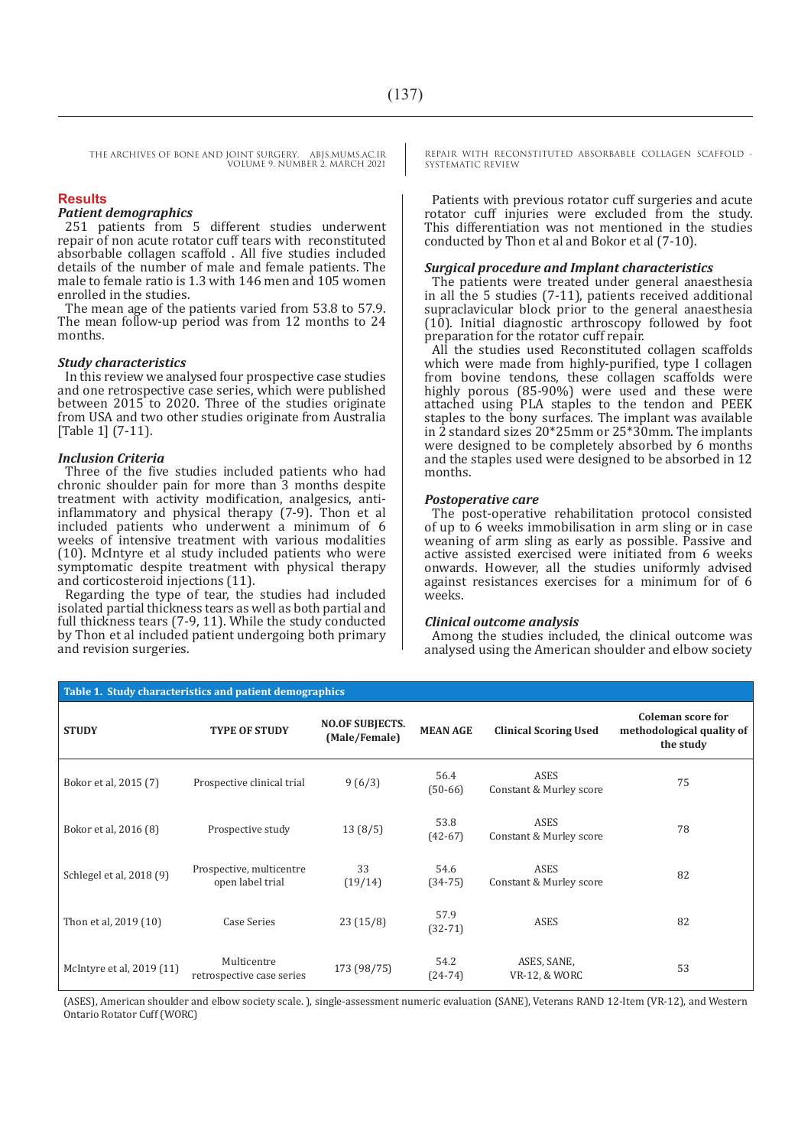#### **Results**

#### *Patient demographics*

251 patients from 5 different studies underwent repair of non acute rotator cuff tears with reconstituted absorbable collagen scaffold . All five studies included details of the number of male and female patients. The male to female ratio is 1.3 with 146 men and 105 women enrolled in the studies.

The mean age of the patients varied from 53.8 to 57.9. The mean follow-up period was from 12 months to 24 months.

#### *Study characteristics*

In this review we analysed four prospective case studies and one retrospective case series, which were published between 2015 to 2020. Three of the studies originate from USA and two other studies originate from Australia [Table 1] (7-11).

#### *Inclusion Criteria*

Three of the five studies included patients who had chronic shoulder pain for more than 3 months despite treatment with activity modification, analgesics, antiinflammatory and physical therapy (7-9). Thon et al included patients who underwent a minimum of 6 weeks of intensive treatment with various modalities (10). McIntyre et al study included patients who were symptomatic despite treatment with physical therapy and corticosteroid injections (11).

Regarding the type of tear, the studies had included isolated partial thickness tears as well as both partial and full thickness tears (7-9, 11). While the study conducted by Thon et al included patient undergoing both primary and revision surgeries.

REPAIR WITH RECONSTITUTED ABSORBABLE COLLAGEN SCAFFOLD - SYSTEMATIC REVIEW

Patients with previous rotator cuff surgeries and acute rotator cuff injuries were excluded from the study. This differentiation was not mentioned in the studies conducted by Thon et al and Bokor et al (7-10).

#### *Surgical procedure and Implant characteristics*

The patients were treated under general anaesthesia in all the 5 studies (7-11), patients received additional supraclavicular block prior to the general anaesthesia (10). Initial diagnostic arthroscopy followed by foot preparation for the rotator cuff repair.

All the studies used Reconstituted collagen scaffolds which were made from highly-purified, type I collagen from bovine tendons, these collagen scaffolds were highly porous (85-90%) were used and these were attached using PLA staples to the tendon and PEEK staples to the bony surfaces. The implant was available in 2 standard sizes 20\*25mm or 25\*30mm. The implants were designed to be completely absorbed by 6 months and the staples used were designed to be absorbed in 12 months.

#### *Postoperative care*

The post-operative rehabilitation protocol consisted of up to 6 weeks immobilisation in arm sling or in case weaning of arm sling as early as possible. Passive and active assisted exercised were initiated from 6 weeks onwards. However, all the studies uniformly advised against resistances exercises for a minimum for of 6 weeks.

#### *Clinical outcome analysis*

Among the studies included, the clinical outcome was analysed using the American shoulder and elbow society

| Table 1. Study characteristics and patient demographics |                                              |                                         |                   |                                        |                                                                    |  |
|---------------------------------------------------------|----------------------------------------------|-----------------------------------------|-------------------|----------------------------------------|--------------------------------------------------------------------|--|
| <b>STUDY</b>                                            | <b>TYPE OF STUDY</b>                         | <b>NO.OF SUBJECTS.</b><br>(Male/Female) | <b>MEAN AGE</b>   | <b>Clinical Scoring Used</b>           | <b>Coleman score for</b><br>methodological quality of<br>the study |  |
| Bokor et al, 2015 (7)                                   | Prospective clinical trial                   | 9(6/3)                                  | 56.4<br>$(50-66)$ | <b>ASES</b><br>Constant & Murley score | 75                                                                 |  |
| Bokor et al, 2016 (8)                                   | Prospective study                            | 13(8/5)                                 | 53.8<br>$(42-67)$ | <b>ASES</b><br>Constant & Murley score | 78                                                                 |  |
| Schlegel et al, 2018 (9)                                | Prospective, multicentre<br>open label trial | 33<br>(19/14)                           | 54.6<br>$(34-75)$ | <b>ASES</b><br>Constant & Murley score | 82                                                                 |  |
| Thon et al, 2019 (10)                                   | Case Series                                  | 23(15/8)                                | 57.9<br>$(32-71)$ | ASES                                   | 82                                                                 |  |
| McIntyre et al, 2019 (11)                               | Multicentre<br>retrospective case series     | 173 (98/75)                             | 54.2<br>$(24-74)$ | ASES, SANE,<br>VR-12, & WORC           | 53                                                                 |  |

(ASES), American shoulder and elbow society scale. ), single-assessment numeric evaluation (SANE), Veterans RAND 12-Item (VR-12), and Western Ontario Rotator Cuff (WORC)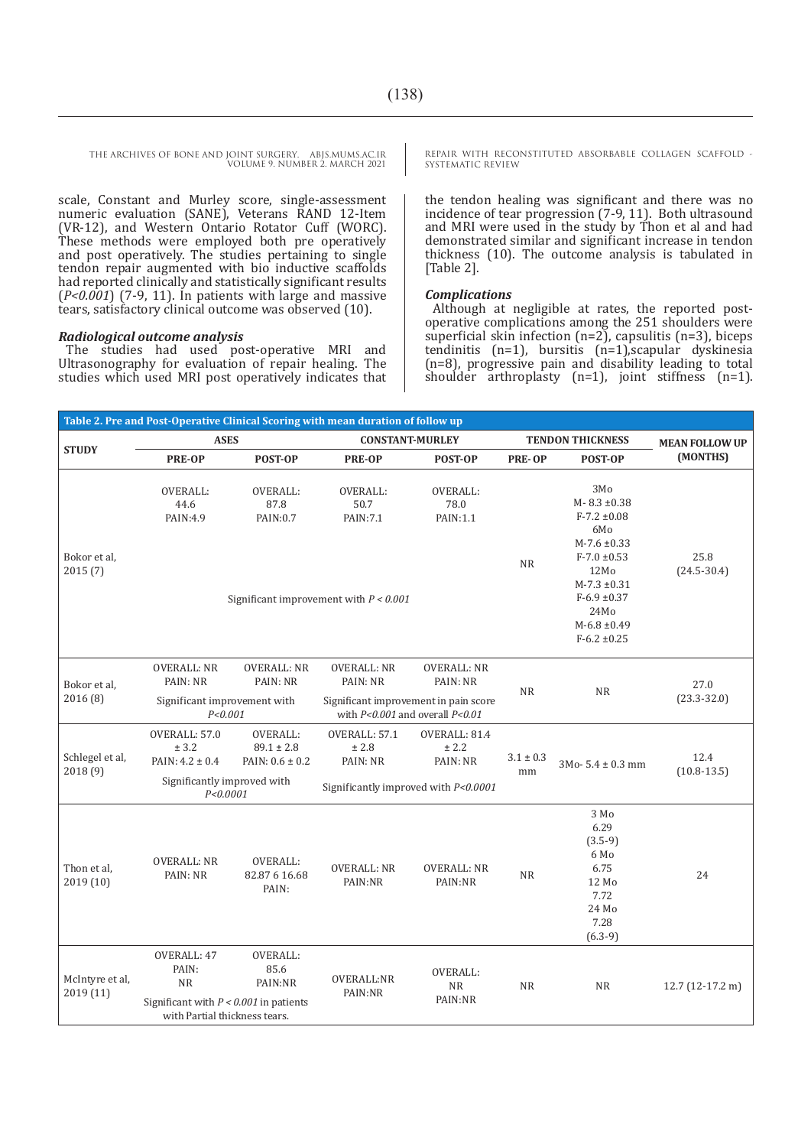THE ARCHIVES OF BONE AND JOINT SURGERY. ABJS.MUMS.AC.IR

VOLUME 9. NUMBER 2. MARCH 2021

scale, Constant and Murley score, single-assessment numeric evaluation (SANE), Veterans RAND 12-Item (VR-12), and Western Ontario Rotator Cuff (WORC). These methods were employed both pre operatively and post operatively. The studies pertaining to single tendon repair augmented with bio inductive scaffolds had reported clinically and statistically significant results (*P<0.001*) (7-9, 11). In patients with large and massive tears, satisfactory clinical outcome was observed (10).

#### *Radiological outcome analysis*

The studies had used post-operative MRI and Ultrasonography for evaluation of repair healing. The studies which used MRI post operatively indicates that REPAIR WITH RECONSTITUTED ABSORBABLE COLLAGEN SCAFFOLD - SYSTEMATIC REVIEW

the tendon healing was significant and there was no incidence of tear progression (7-9, 11). Both ultrasound and MRI were used in the study by Thon et al and had demonstrated similar and significant increase in tendon thickness (10). The outcome analysis is tabulated in [Table 2].

#### *Complications*

Although at negligible at rates, the reported postoperative complications among the 251 shoulders were superficial skin infection  $(n=2)$ , capsulitis  $(n=3)$ , biceps tendinitis  $(n=1)$ , bursitis  $(n=1)$ , scapular dyskinesia (n=8), progressive pain and disability leading to total shoulder arthroplasty (n=1), joint stiffness (n=1).

| Table 2. Pre and Post-Operative Clinical Scoring with mean duration of follow up |                                                                                                                |                                                   |                                                                                  |                                     |                         |                                                                                                                                                                                                |                         |
|----------------------------------------------------------------------------------|----------------------------------------------------------------------------------------------------------------|---------------------------------------------------|----------------------------------------------------------------------------------|-------------------------------------|-------------------------|------------------------------------------------------------------------------------------------------------------------------------------------------------------------------------------------|-------------------------|
| <b>STUDY</b>                                                                     | <b>ASES</b>                                                                                                    |                                                   | <b>CONSTANT-MURLEY</b>                                                           |                                     | <b>TENDON THICKNESS</b> |                                                                                                                                                                                                | <b>MEAN FOLLOW UP</b>   |
|                                                                                  | <b>PRE-OP</b>                                                                                                  | POST-OP                                           | <b>PRE-OP</b>                                                                    | POST-OP                             | <b>PRE-OP</b>           | POST-OP                                                                                                                                                                                        | (MONTHS)                |
| Bokor et al,<br>2015(7)                                                          | <b>OVERALL:</b><br>44.6<br>PAIN:4.9                                                                            | <b>OVERALL:</b><br>87.8<br>PAIN:0.7               | <b>OVERALL:</b><br>50.7<br>PAIN: 7.1<br>Significant improvement with $P < 0.001$ | <b>OVERALL:</b><br>78.0<br>PAIN:1.1 | <b>NR</b>               | 3Mo<br>$M - 8.3 \pm 0.38$<br>$F-7.2 \pm 0.08$<br>6Mo<br>$M - 7.6 \pm 0.33$<br>$F-7.0 \pm 0.53$<br>12Mo<br>$M-7.3 \pm 0.31$<br>$F-6.9 \pm 0.37$<br>24Mo<br>$M-6.8 \pm 0.49$<br>$F-6.2 \pm 0.25$ | 25.8<br>$(24.5 - 30.4)$ |
| Bokor et al,<br>2016(8)                                                          | <b>OVERALL: NR</b><br>PAIN: NR<br>Significant improvement with                                                 | <b>OVERALL: NR</b><br>PAIN: NR                    | <b>OVERALL: NR</b><br>PAIN: NR<br>Significant improvement in pain score          | <b>OVERALL: NR</b><br>PAIN: NR      | NR                      | <b>NR</b>                                                                                                                                                                                      | 27.0<br>$(23.3 - 32.0)$ |
|                                                                                  | P < 0.001                                                                                                      |                                                   | with $P < 0.001$ and overall $P < 0.01$                                          |                                     |                         |                                                                                                                                                                                                |                         |
| Schlegel et al,<br>2018 (9)                                                      | OVERALL: 57.0<br>± 3.2<br>PAIN: $4.2 \pm 0.4$<br>Significantly improved with<br>P < 0.0001                     | OVERALL:<br>$89.1 \pm 2.8$<br>PAIN: $0.6 \pm 0.2$ | OVERALL: 57.1<br>$\pm$ 2.8<br>PAIN: NR<br>Significantly improved with P<0.0001   | OVERALL: 81.4<br>± 2.2<br>PAIN: NR  | $3.1\pm0.3$<br>mm       | $3Mo-5.4 \pm 0.3$ mm                                                                                                                                                                           | 12.4<br>$(10.8 - 13.5)$ |
| Thon et al,<br>2019 (10)                                                         | <b>OVERALL: NR</b><br>PAIN: NR                                                                                 | OVERALL:<br>82.87 6 16.68<br>PAIN:                | <b>OVERALL: NR</b><br>PAIN:NR                                                    | <b>OVERALL: NR</b><br>PAIN:NR       | <b>NR</b>               | 3 Mo<br>6.29<br>$(3.5-9)$<br>6 Mo<br>6.75<br>12 Mo<br>7.72<br>24 Mo<br>7.28<br>$(6.3-9)$                                                                                                       | 24                      |
| McIntyre et al,<br>2019 (11)                                                     | OVERALL: 47<br>PAIN:<br><b>NR</b><br>Significant with $P < 0.001$ in patients<br>with Partial thickness tears. | OVERALL:<br>85.6<br>PAIN:NR                       | OVERALL:NR<br>PAIN:NR                                                            | OVERALL:<br><b>NR</b><br>PAIN:NR    | <b>NR</b>               | <b>NR</b>                                                                                                                                                                                      | $12.7$ (12-17.2 m)      |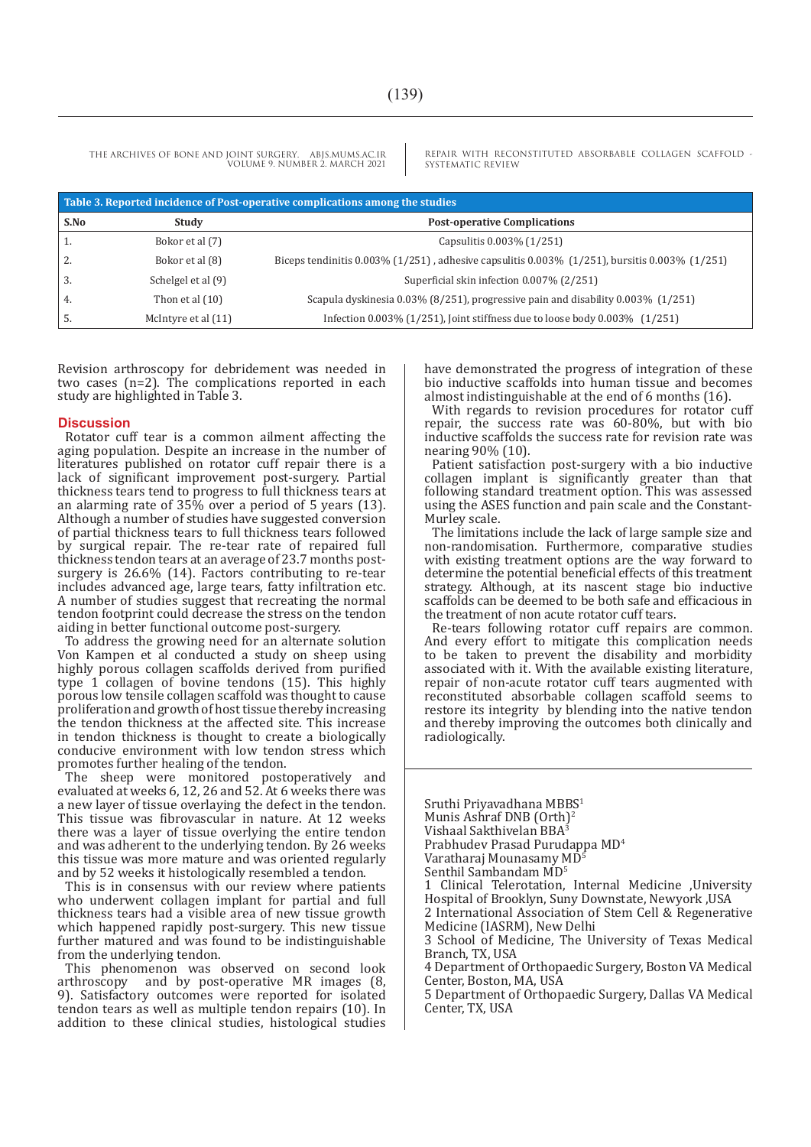REPAIR WITH RECONSTITUTED ABSORBABLE COLLAGEN SCAFFOLD - SYSTEMATIC REVIEW

| Table 3. Reported incidence of Post-operative complications among the studies |                     |                                                                                                        |  |  |  |
|-------------------------------------------------------------------------------|---------------------|--------------------------------------------------------------------------------------------------------|--|--|--|
| S.No                                                                          | Study               | <b>Post-operative Complications</b>                                                                    |  |  |  |
| 1.                                                                            | Bokor et al (7)     | Capsulitis 0.003% (1/251)                                                                              |  |  |  |
| 2.                                                                            | Bokor et al (8)     | Biceps tendinitis $0.003\%$ (1/251), adhesive capsulitis $0.003\%$ (1/251), bursitis $0.003\%$ (1/251) |  |  |  |
| 3.                                                                            | Schelgel et al (9)  | Superficial skin infection 0.007% (2/251)                                                              |  |  |  |
| 4.                                                                            | Thon et al $(10)$   | Scapula dyskinesia 0.03% (8/251), progressive pain and disability 0.003% (1/251)                       |  |  |  |
| 5.                                                                            | McIntyre et al (11) | Infection $0.003\%$ (1/251), Joint stiffness due to loose body $0.003\%$ (1/251)                       |  |  |  |

Revision arthroscopy for debridement was needed in two cases (n=2). The complications reported in each study are highlighted in Table 3.

#### **Discussion**

Rotator cuff tear is a common ailment affecting the aging population. Despite an increase in the number of literatures published on rotator cuff repair there is a lack of significant improvement post-surgery. Partial thickness tears tend to progress to full thickness tears at an alarming rate of 35% over a period of 5 years (13). Although a number of studies have suggested conversion of partial thickness tears to full thickness tears followed by surgical repair. The re-tear rate of repaired full thickness tendon tears at an average of 23.7 months postsurgery is 26.6% (14). Factors contributing to re-tear includes advanced age, large tears, fatty infiltration etc. A number of studies suggest that recreating the normal tendon footprint could decrease the stress on the tendon aiding in better functional outcome post-surgery.

To address the growing need for an alternate solution Von Kampen et al conducted a study on sheep using highly porous collagen scaffolds derived from purified type 1 collagen of bovine tendons (15). This highly porous low tensile collagen scaffold was thought to cause proliferation and growth of host tissue thereby increasing the tendon thickness at the affected site. This increase in tendon thickness is thought to create a biologically conducive environment with low tendon stress which promotes further healing of the tendon.

The sheep were monitored postoperatively and evaluated at weeks 6, 12, 26 and 52. At 6 weeks there was a new layer of tissue overlaying the defect in the tendon. This tissue was fibrovascular in nature. At 12 weeks there was a layer of tissue overlying the entire tendon and was adherent to the underlying tendon. By 26 weeks this tissue was more mature and was oriented regularly and by 52 weeks it histologically resembled a tendon.

This is in consensus with our review where patients who underwent collagen implant for partial and full thickness tears had a visible area of new tissue growth which happened rapidly post-surgery. This new tissue further matured and was found to be indistinguishable from the underlying tendon.

This phenomenon was observed on second look arthroscopy and by post-operative MR images (8, 9). Satisfactory outcomes were reported for isolated tendon tears as well as multiple tendon repairs (10). In addition to these clinical studies, histological studies have demonstrated the progress of integration of these bio inductive scaffolds into human tissue and becomes almost indistinguishable at the end of 6 months (16).

With regards to revision procedures for rotator cuff repair, the success rate was 60-80%, but with bio inductive scaffolds the success rate for revision rate was nearing 90% (10).

Patient satisfaction post-surgery with a bio inductive collagen implant is significantly greater than that following standard treatment option. This was assessed using the ASES function and pain scale and the Constant-Murley scale.

The limitations include the lack of large sample size and non-randomisation. Furthermore, comparative studies with existing treatment options are the way forward to determine the potential beneficial effects of this treatment strategy. Although, at its nascent stage bio inductive scaffolds can be deemed to be both safe and efficacious in the treatment of non acute rotator cuff tears.

Re-tears following rotator cuff repairs are common. And every effort to mitigate this complication needs to be taken to prevent the disability and morbidity associated with it. With the available existing literature, repair of non-acute rotator cuff tears augmented with reconstituted absorbable collagen scaffold seems to restore its integrity by blending into the native tendon and thereby improving the outcomes both clinically and radiologically.

Sruthi Privavadhana MBBS<sup>1</sup> Munis Ashraf DNB (Orth)2 Vishaal Sakthivelan BBA<sup>3</sup> Prabhudev Prasad Purudappa MD<sup>4</sup> Varatharaj Mounasamy MD<sup>5</sup> Senthil Sambandam MD<sup>5</sup> 1 Clinical Telerotation, Internal Medicine ,University Hospital of Brooklyn, Suny Downstate, Newyork ,USA 2 International Association of Stem Cell & Regenerative Medicine (IASRM), New Delhi 3 School of Medicine, The University of Texas Medical Branch, TX, USA 4 Department of Orthopaedic Surgery, Boston VA Medical Center, Boston, MA, USA 5 Department of Orthopaedic Surgery, Dallas VA Medical Center, TX, USA